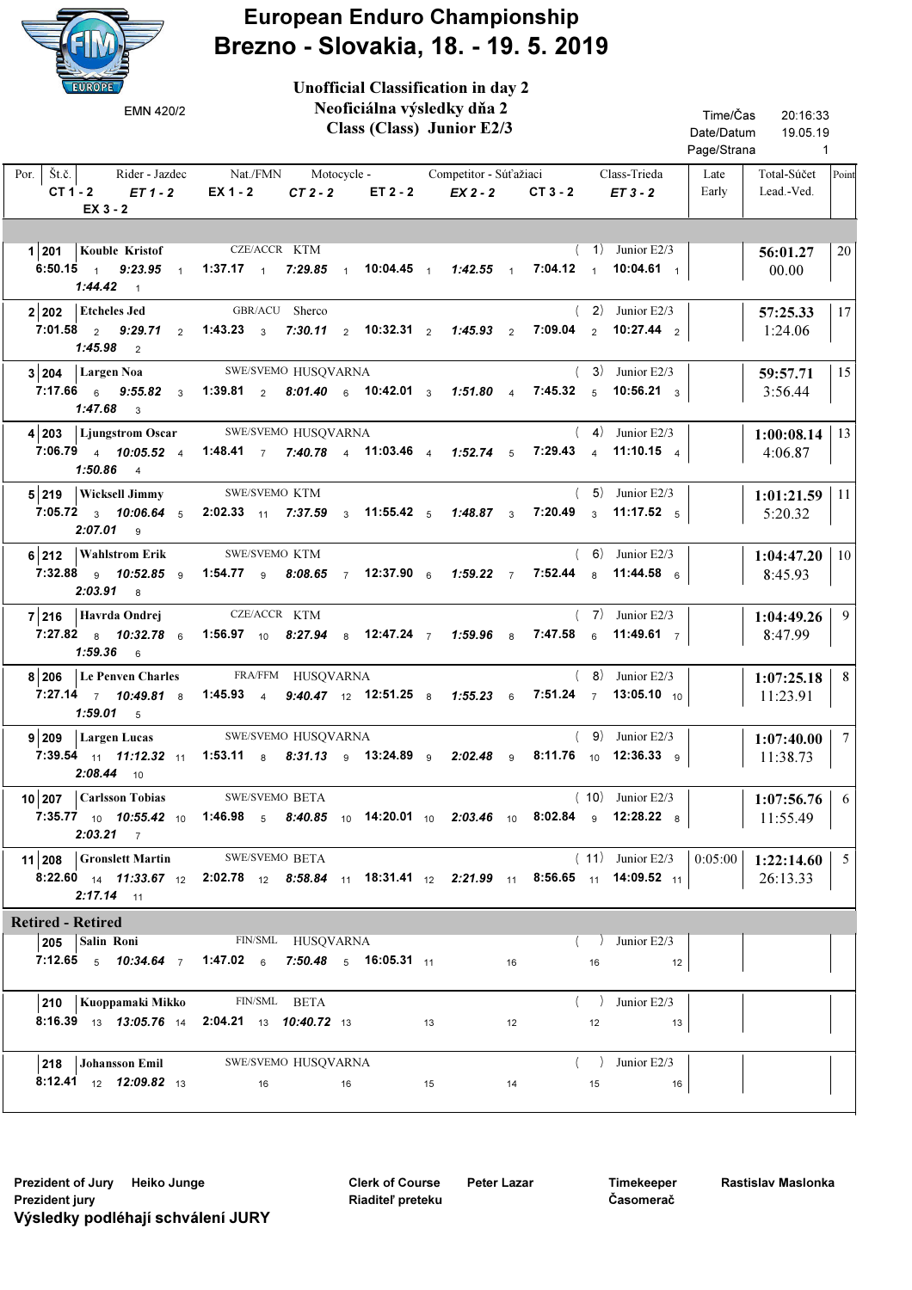

Unofficial Classification in day 2

## European Enduro Championship Brezno - Slovakia, 18. - 19. 5. 2019

| EMN 420/2                                                                    | Neoficiálna výsledky dňa 2<br>Class (Class) Junior E2/3                                                                                                                                                  |          |                                                         | Time/Čas<br>20:16:33<br>Date/Datum<br>19.05.19<br>Page/Strana 1 |
|------------------------------------------------------------------------------|----------------------------------------------------------------------------------------------------------------------------------------------------------------------------------------------------------|----------|---------------------------------------------------------|-----------------------------------------------------------------|
| $EX_3 - 2$                                                                   | Por.   Št.č.   Rider - Jazdec Nat./FMN Motocycle - Competitor - Súťažiaci<br>CT1-2 ET1-2 EX1-2 CT2-2 ET2-2 EX2-2 CT3-2 ET3-2                                                                             |          | Class-Trieda                                            | Late<br>Total-Súčet Point<br>Early<br>Lead.-Ved.                |
| 1 201   Kouble Kristof<br>$1:44.42$ 1                                        | CZE/ACCR KTM<br>6:50.15 1 9:23.95 1 1:37.17 1 7:29.85 1 10:04.45 1 1:42.55 1 7:04.12 1 10:04.61 1                                                                                                        |          | $(1)$ Junior E2/3                                       | 20<br>56:01.27<br>00.00                                         |
| 2 202 Etcheles Jed<br>$1:45.98$ 2                                            | GBR/ACU Sherco<br>7:01.58  2  9:29.71  2  1:43.23  3  7:30.11  2  10:32.31  2  7:45.93  2  7:09.04  2  10:27.44  2                                                                                       |          | $(2)$ Junior E2/3                                       | 17<br>57:25.33<br>1:24.06                                       |
| $3 204$ Largen Noa<br>$1:47.68$ 3                                            | SWE/SVEMO HUSQVARNA<br>7:17.66 $\frac{1}{6}$ 9:55.82 $\frac{1}{3}$ 1:39.81 $\frac{1}{2}$ 8:01.40 $\frac{1}{6}$ 10:42.01 $\frac{1}{3}$ 1:51.80 $\frac{1}{4}$ 7:45.32 $\frac{1}{5}$ 10:56.21 $\frac{1}{3}$ |          | $(3)$ Junior E2/3                                       | 15<br>59:57.71<br>3:56.44                                       |
| $1:50.86$ 4                                                                  | 4 203 Ljungstrom Oscar SWE/SVEMO HUSQVARNA<br>7:06.79 4 10:05.52 4 1:48.41 7 7:40.78 4 11:03.46 4 1:52.74 5 7:29.43 4 11:10.15 4                                                                         |          | $(4)$ Junior E2/3                                       | $1:00:08.14$   13<br>4:06.87                                    |
| 5 219 Wicksell Jimmy SWE/SVEMO KTM<br>$2:07.01$ 9                            | 7:05.72 $\frac{3}{3}$ 10:06.64 $\frac{5}{5}$ 2:02.33 $\frac{11}{11}$ 7:37.59 $\frac{3}{3}$ 11:55.42 $\frac{5}{5}$ 1:48.87 $\frac{3}{3}$ 7:20.49 $\frac{3}{3}$ 11:17.52 $\frac{5}{5}$                     |          | $(5)$ Junior E2/3                                       | $1:01:21.59$   11<br>5:20.32                                    |
| 6 212 Wahlstrom Erik<br>$2:03.91$ 8                                          | SWE/SVEMO KTM<br>7:32.88 <sub>9</sub> 10:52.85 <sub>9</sub> 1:54.77 <sub>9</sub> 8:08.65 <sub>7</sub> 12:37.90 <sub>6</sub> 1:59.22 <sub>7</sub> 7:52.44 <sub>8</sub> 11:44.58 <sub>6</sub>              |          | $(6)$ Junior E2/3                                       | $1:04:47.20$   10<br>8:45.93                                    |
| 7 216 Havrda Ondrej<br>$1:59.36$ 6                                           | CZE/ACCR KTM<br>7:27.82 a 10:32.78 a 1:56.97 10 8:27.94 a 12:47.24 7 1:59.96 a 7:47.58 a 11:49.61 7                                                                                                      |          | $(7)$ Junior E2/3                                       | - 9<br>1:04:49.26<br>8:47.99                                    |
| $1:59.01$ 5                                                                  | 8 206 Le Penven Charles FRA/FFM HUSQVARNA<br>7:27.14 7 10:49.81 8 1:45.93 4 9:40.47 12 12:51.25 8 1:55.23 6 7:51.24 7 13:05.10 10                                                                        |          | $(8)$ Junior E2/3                                       | 8<br>1:07:25.18<br>11:23.91                                     |
| $9 209 $ Largen Lucas<br>$2:08.44$ 10                                        | SWE/SVEMO HUSQVARNA<br>7:39.54 <sub>11</sub> 11:12.32 <sub>11</sub> 1:53.11 <sub>8</sub> 8:31.13 9 13:24.89 9 2:02.48 9 8:11.76 <sub>10</sub> 12:36.33 9                                                 |          | $(9)$ Junior E2/3                                       | 1:07:40.00 $\mid$ 7<br>11:38.73                                 |
| 10 207   Carlsson Tobias SWE/SVEMO BETA<br>$2:03.21$ 7                       | 7:35.77 <sub>10</sub> 10:55.42 <sub>10</sub> 1:46.98 <sub>5</sub> 8:40.85 <sub>10</sub> 14:20.01 <sub>10</sub> 2:03.46 <sub>10</sub> 8:02.84 <sub>9</sub> 12:28.22 <sub>8</sub>                          |          | $(10)$ Junior E2/3                                      | 6<br>1:07:56.76<br>11:55.49                                     |
| 11 208 Gronslett Martin<br>$2:17.14$ 11                                      | SWE/SVEMO BETA<br><b>8:22.60</b> 14 <b>11:33.67</b> 12 <b>2:02.78</b> 12 <b>8:58.84</b> 11 <b>18:31.41</b> 12 <b>2:21.99</b> 11 <b>8:56.65</b> 11 <b>14:09.52</b> 11                                     |          | $(11)$ Junior E2/3                                      | 0:05:00<br>$1:22:14.60$ 5<br>26:13.33                           |
| <b>Retired - Retired</b>                                                     |                                                                                                                                                                                                          |          |                                                         |                                                                 |
| 205 Salin Roni                                                               | FIN/SML HUSQVARNA<br>7:12.65 $\frac{1}{5}$ 10:34.64 $\frac{1}{7}$ 1:47.02 $\frac{1}{6}$ 7:50.48 $\frac{1}{5}$ 16:05.31 $\frac{1}{11}$                                                                    | 16       | Junior E2/3<br>16<br>12                                 |                                                                 |
| 210<br>Kuoppamaki Mikko<br>8:16.39 13:05.76 14 2:04.21 13 10:40.72 13        | FIN/SML BETA                                                                                                                                                                                             | 13<br>12 | $\left(\begin{array}{c}\right)$ Junior E2/3<br>12<br>13 |                                                                 |
| 218 Johansson Emil<br><b>8:12.41</b> $12 \cdot 12 \cdot 09.82$ $13 \cdot 13$ | SWE/SVEMO HUSQVARNA<br>$\overline{16}$<br>$\sim$ 16                                                                                                                                                      | 15<br>14 | $\langle \rangle$ Junior E2/3<br>16<br>15               |                                                                 |

Clerk of Course Riaditeľ preteku

Timekeeper Časomerač

Rastislav Maslonka